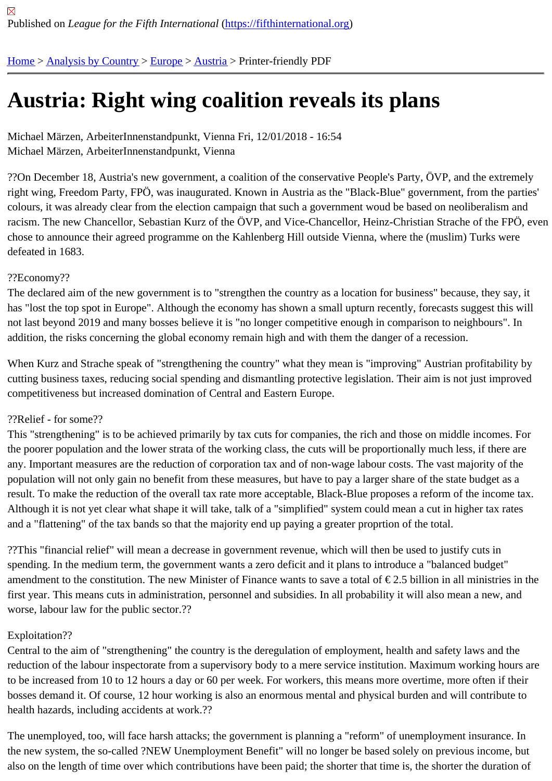# [Au](https://fifthinternational.org/)s[tria: Right](https://fifthinternational.org/category/1) [wing](https://fifthinternational.org/category/1/128) [coa](https://fifthinternational.org/category/1/128/132)lition reveals its plans

Michael Märzen, ArbeiterInnenstandpunkt, Vienna Fri, 12/01/2018 - 16:54 Michael Märzen, ArbeiterInnenstandpunkt, Vienna

??On December 18, Austria's new government, a coalition of the conservative People's Party, OVP, and the extre right wing, Freedom Party, FPÖ, was inaugurated. Known in Austria as the "Black-Blue" government, from the par colours, it was already clear from the election campaign that such a government woud be based on neoliberalism racism. The new Chancellor, Sebastian Kurz of the ÖVP, and Vice-Chancellor, Heinz-Christian Strache of the FPO chose to announce their agreed programme on the Kahlenberg Hill outside Vienna, where the (muslim) Turks were defeated in 1683.

# ??Economy??

The declared aim of the new government is to "strengthen the country as a location for business" because, they sa has "lost the top spot in Europe". Although the economy has shown a small upturn recently, forecasts suggest this not last beyond 2019 and many bosses believe it is "no longer competitive enough in comparison to neighbours". I addition, the risks concerning the global economy remain high and with them the danger of a recession.

When Kurz and Strache speak of "strengthening the country" what they mean is "improving" Austrian profitability b cutting business taxes, reducing social spending and dismantling protective legislation. Their aim is not just improv competitiveness but increased domination of Central and Eastern Europe.

## ??Relief - for some??

This "strengthening" is to be achieved primarily by tax cuts for companies, the rich and those on middle incomes. I the poorer population and the lower strata of the working class, the cuts will be proportionally much less, if there are any. Important measures are the reduction of corporation tax and of non-wage labour costs. The vast majority of th population will not only gain no benefit from these measures, but have to pay a larger share of the state budget as result. To make the reduction of the overall tax rate more acceptable, Black-Blue proposes a reform of the income Although it is not yet clear what shape it will take, talk of a "simplified" system could mean a cut in higher tax rates and a "flattening" of the tax bands so that the majority end up paying a greater proprtion of the total.

??This "financial relief" will mean a decrease in government revenue, which will then be used to justify cuts in spending. In the medium term, the government wants a zero deficit and it plans to introduce a "balanced budget" amendment to the constitution. The new Minister of Finance wants to save a total of  $\epsilon$  2.5 billion in all ministries in first year. This means cuts in administration, personnel and subsidies. In all probability it will also mean a new, and worse, labour law for the public sector.??

# Exploitation??

Central to the aim of "strengthening" the country is the deregulation of employment, health and safety laws and the reduction of the labour inspectorate from a supervisory body to a mere service institution. Maximum working hours to be increased from 10 to 12 hours a day or 60 per week. For workers, this means more overtime, more often if th bosses demand it. Of course, 12 hour working is also an enormous mental and physical burden and will contribute health hazards, including accidents at work.??

The unemployed, too, will face harsh attacks; the government is planning a "reform" of unemployment insurance. I the new system, the so-called ?NEW Unemployment Benefit" will no longer be based solely on previous income, but also on the length of time over which contributions have been paid; the shorter that time is, the shorter the duration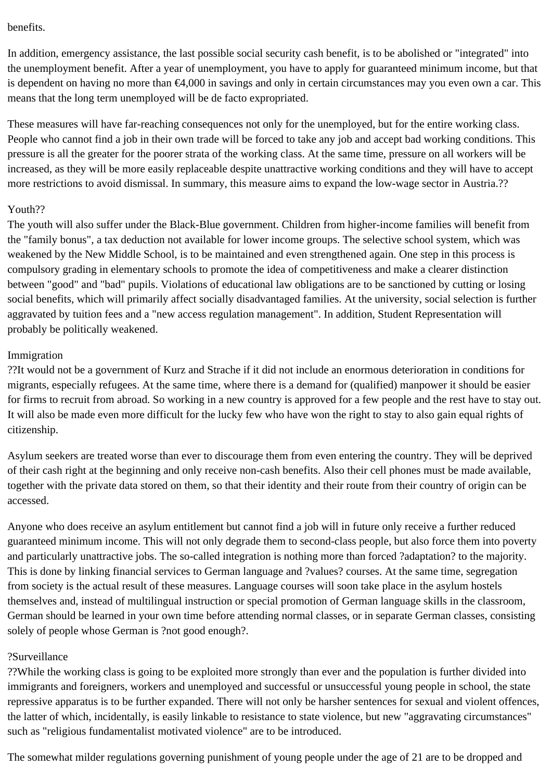#### benefits.

In addition, emergency assistance, the last possible social security cash benefit, is to be abolished or "integrated" into the unemployment benefit. After a year of unemployment, you have to apply for guaranteed minimum income, but that is dependent on having no more than €4,000 in savings and only in certain circumstances may you even own a car. This means that the long term unemployed will be de facto expropriated.

These measures will have far-reaching consequences not only for the unemployed, but for the entire working class. People who cannot find a job in their own trade will be forced to take any job and accept bad working conditions. This pressure is all the greater for the poorer strata of the working class. At the same time, pressure on all workers will be increased, as they will be more easily replaceable despite unattractive working conditions and they will have to accept more restrictions to avoid dismissal. In summary, this measure aims to expand the low-wage sector in Austria.??

## Youth??

The youth will also suffer under the Black-Blue government. Children from higher-income families will benefit from the "family bonus", a tax deduction not available for lower income groups. The selective school system, which was weakened by the New Middle School, is to be maintained and even strengthened again. One step in this process is compulsory grading in elementary schools to promote the idea of competitiveness and make a clearer distinction between "good" and "bad" pupils. Violations of educational law obligations are to be sanctioned by cutting or losing social benefits, which will primarily affect socially disadvantaged families. At the university, social selection is further aggravated by tuition fees and a "new access regulation management". In addition, Student Representation will probably be politically weakened.

## Immigration

??It would not be a government of Kurz and Strache if it did not include an enormous deterioration in conditions for migrants, especially refugees. At the same time, where there is a demand for (qualified) manpower it should be easier for firms to recruit from abroad. So working in a new country is approved for a few people and the rest have to stay out. It will also be made even more difficult for the lucky few who have won the right to stay to also gain equal rights of citizenship.

Asylum seekers are treated worse than ever to discourage them from even entering the country. They will be deprived of their cash right at the beginning and only receive non-cash benefits. Also their cell phones must be made available, together with the private data stored on them, so that their identity and their route from their country of origin can be accessed.

Anyone who does receive an asylum entitlement but cannot find a job will in future only receive a further reduced guaranteed minimum income. This will not only degrade them to second-class people, but also force them into poverty and particularly unattractive jobs. The so-called integration is nothing more than forced ?adaptation? to the majority. This is done by linking financial services to German language and ?values? courses. At the same time, segregation from society is the actual result of these measures. Language courses will soon take place in the asylum hostels themselves and, instead of multilingual instruction or special promotion of German language skills in the classroom, German should be learned in your own time before attending normal classes, or in separate German classes, consisting solely of people whose German is ?not good enough?.

# ?Surveillance

??While the working class is going to be exploited more strongly than ever and the population is further divided into immigrants and foreigners, workers and unemployed and successful or unsuccessful young people in school, the state repressive apparatus is to be further expanded. There will not only be harsher sentences for sexual and violent offences, the latter of which, incidentally, is easily linkable to resistance to state violence, but new "aggravating circumstances" such as "religious fundamentalist motivated violence" are to be introduced.

The somewhat milder regulations governing punishment of young people under the age of 21 are to be dropped and